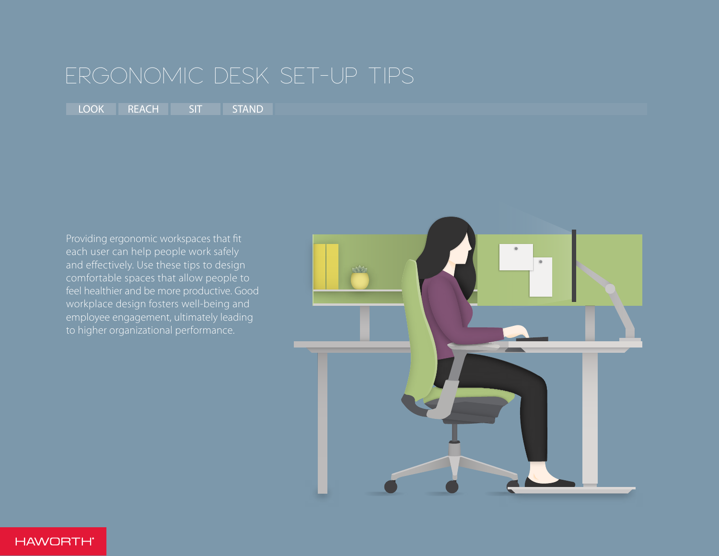<span id="page-0-0"></span>[LOOK](#page-1-0) [REACH](#page-2-0) [SIT](#page-3-0) [STAND](#page-4-0)

Providing ergonomic workspaces that fit each user can help people work safely and effectively. Use these tips to design comfortable spaces that allow people to feel healthier and be more productive. Good workplace design fosters well-being and employee engagement, ultimately leading to higher organizational performance.

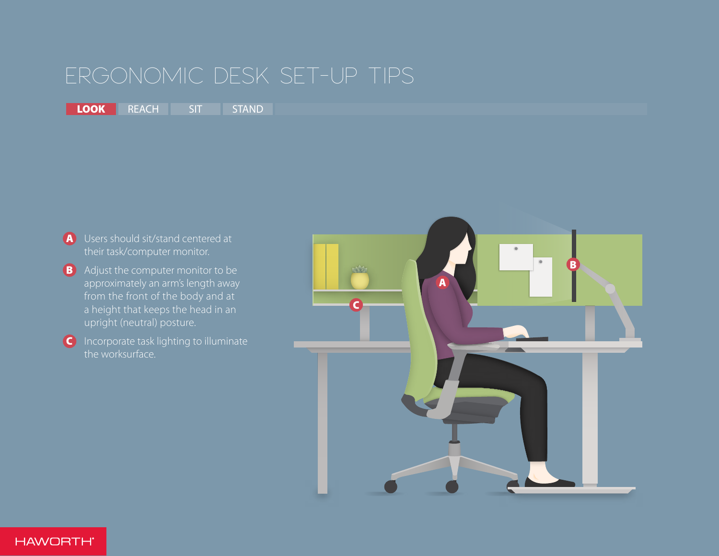# <span id="page-1-0"></span>LOOK [REACH](#page-2-0) [SIT](#page-3-0) [STAND](#page-4-0)

- A Users should sit/stand centered at their task/computer monitor.
- **B** Adjust the computer monitor to be approximately an arm's length away from the front of the body and at a height that keeps the head in an upright (neutral) posture.
- C Incorporate task lighting to illuminate the worksurface.

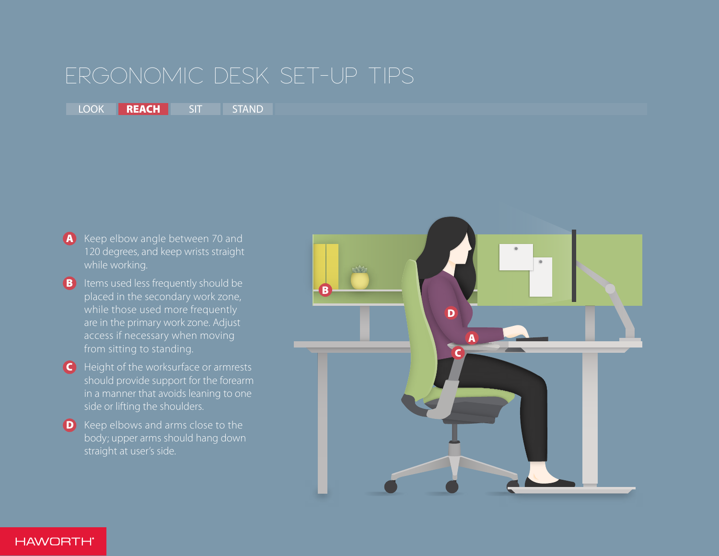<span id="page-2-0"></span>[LOOK](#page-1-0) **REACH** [SIT](#page-3-0) [STAND](#page-4-0)

- A Keep elbow angle between 70 and 120 degrees, and keep wrists straight while working.
- **B** Items used less frequently should be placed in the secondary work zone, while those used more frequently are in the primary work zone. Adjust from sitting to standing.
- C Height of the worksurface or armrests should provide support for the forearm in a manner that avoids leaning to one side or lifting the shoulders.
- D Keep elbows and arms close to the body; upper arms should hang down straight at user's side.



**HAWORTH**\*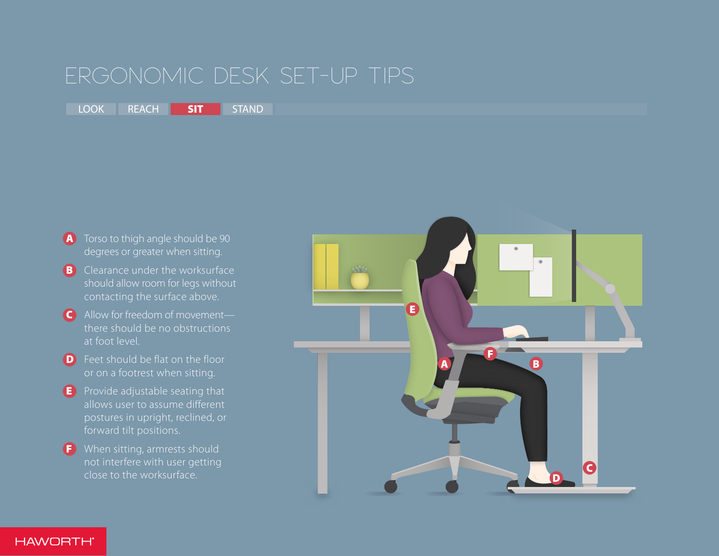<span id="page-3-0"></span>[LOOK](#page-1-0) [REACH](#page-2-0) SIT [STAND](#page-4-0)

- A Torso to thigh angle should be 90 degrees or greater when sitting.
- **B** Clearance under the worksurface should allow room for legs without contacting the surface above.
- C Allow for freedom of movement there should be no obstructions at foot level.
- **D** Feet should be flat on the floor or on a footrest when sitting.
- E Provide adjustable seating that allows user to assume different postures in upright, reclined, or forward tilt positions.
- F When sitting, armrests should not interfere with user getting close to the worksurface.



**HAWORTH**\*